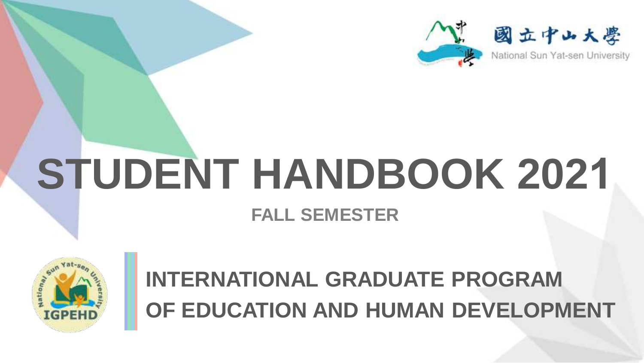

# **STUDENT HANDBOOK 2021 FALL SEMESTER**



### **INTERNATIONAL GRADUATE PROGRAM OF EDUCATION AND HUMAN DEVELOPMENT**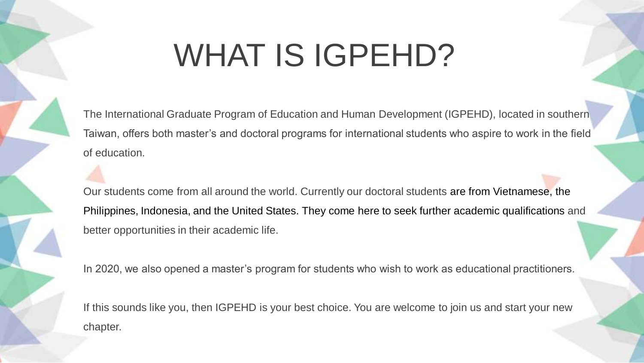### WHAT IS IGPEHD?

The International Graduate Program of Education and Human Development (IGPEHD), located in southern Taiwan, offers both master's and doctoral programs for international students who aspire to work in the field of education.

Our students come from all around the world. Currently our doctoral students are from Vietnamese, the Philippines, Indonesia, and the United States. They come here to seek further academic qualifications and better opportunities in their academic life.

In 2020, we also opened a master's program for students who wish to work as educational practitioners.

If this sounds like you, then IGPEHD is your best choice. You are welcome to join us and start your new chapter.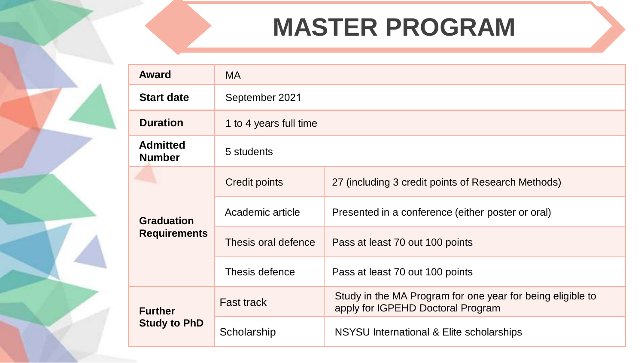### **MASTER PROGRAM**

| Award                            | <b>MA</b>              |                                                                                                 |  |
|----------------------------------|------------------------|-------------------------------------------------------------------------------------------------|--|
| <b>Start date</b>                | September 2021         |                                                                                                 |  |
| <b>Duration</b>                  | 1 to 4 years full time |                                                                                                 |  |
| <b>Admitted</b><br><b>Number</b> | 5 students             |                                                                                                 |  |
|                                  | Credit points          | 27 (including 3 credit points of Research Methods)                                              |  |
| <b>Graduation</b>                | Academic article       | Presented in a conference (either poster or oral)                                               |  |
| <b>Requirements</b>              | Thesis oral defence    | Pass at least 70 out 100 points                                                                 |  |
|                                  | Thesis defence         | Pass at least 70 out 100 points                                                                 |  |
| <b>Further</b>                   | <b>Fast track</b>      | Study in the MA Program for one year for being eligible to<br>apply for IGPEHD Doctoral Program |  |
| <b>Study to PhD</b>              | Scholarship            | NSYSU International & Elite scholarships                                                        |  |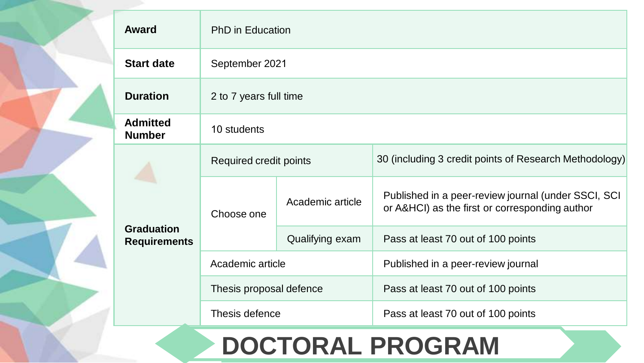|                                          | Award                            | <b>PhD</b> in Education |                                                        |                                                                                                       |
|------------------------------------------|----------------------------------|-------------------------|--------------------------------------------------------|-------------------------------------------------------------------------------------------------------|
|                                          | <b>Start date</b>                | September 2021          |                                                        |                                                                                                       |
|                                          | <b>Duration</b>                  | 2 to 7 years full time  |                                                        |                                                                                                       |
|                                          | <b>Admitted</b><br><b>Number</b> | 10 students             |                                                        |                                                                                                       |
| <b>Graduation</b><br><b>Requirements</b> | Required credit points           |                         | 30 (including 3 credit points of Research Methodology) |                                                                                                       |
|                                          |                                  | Choose one              | Academic article                                       | Published in a peer-review journal (under SSCI, SCI<br>or A&HCI) as the first or corresponding author |
|                                          |                                  | Qualifying exam         | Pass at least 70 out of 100 points                     |                                                                                                       |
|                                          |                                  | Academic article        |                                                        | Published in a peer-review journal                                                                    |
|                                          |                                  | Thesis proposal defence |                                                        | Pass at least 70 out of 100 points                                                                    |
|                                          |                                  | Thesis defence          |                                                        | Pass at least 70 out of 100 points                                                                    |

### **DOCTORAL PROGRAM**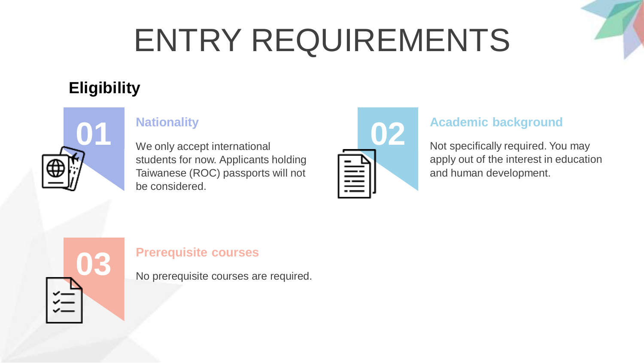# ENTRY REQUIREMENTS

#### **Eligibility**



We only accept international students for now. Applicants holding Taiwanese (ROC) passports will not be considered.



apply out of the interest in education and human development. **Academic background**<br>Not specifically required. You may



No prerequisite courses are required. **Prerequisite courses 03**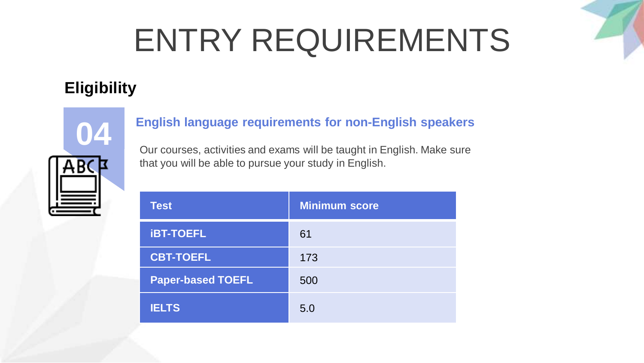# ENTRY REQUIREMENTS

#### **Eligibility**



### **English language requirements for non-English speakers 04**

Our courses, activities and exams will be taught in English. Make sure that you will be able to pursue your study in English.

| <b>Test</b>              | <b>Minimum score</b> |
|--------------------------|----------------------|
| <b>IBT-TOEFL</b>         | 61                   |
| <b>CBT-TOEFL</b>         | 173                  |
| <b>Paper-based TOEFL</b> | 500                  |
| <b>IELTS</b>             | 5.0                  |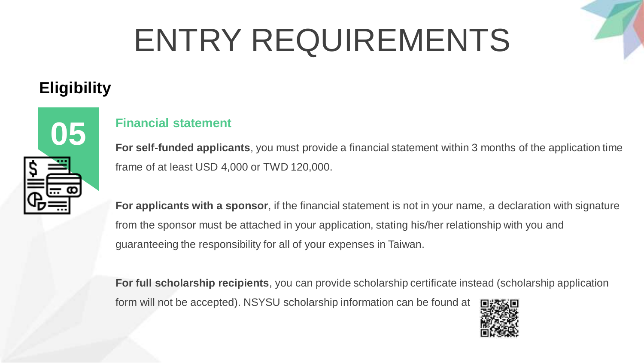# ENTRY REQUIREMENTS

#### **Eligibility**



### **Financial statement 05**

**For self-funded applicants**, you must provide a financial statement within 3 months of the application time frame of at least USD 4,000 or TWD 120,000.

**For applicants with a sponsor**, if the financial statement is not in your name, a declaration with signature from the sponsor must be attached in your application, stating his/her relationship with you and guaranteeing the responsibility for all of your expenses in Taiwan.

**For full scholarship recipients**, you can provide scholarship certificate instead (scholarship application form will not be accepted). NSYSU scholarship information can be found at

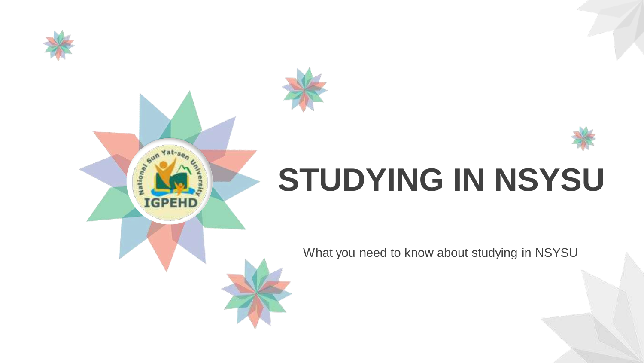

 $5u<sub>n</sub>$ 

**IGPEHD** 

ation<sub>a</sub>





What you need to know about studying in NSYSU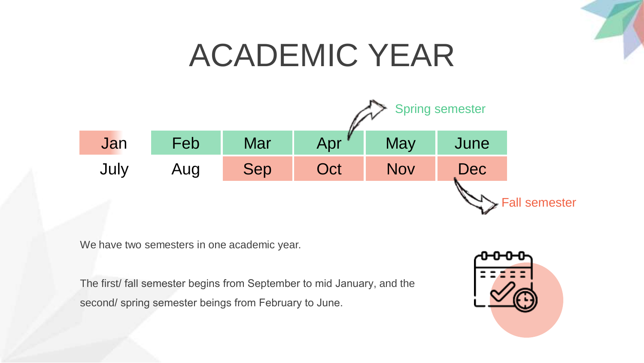

### ACADEMIC YEAR



We have two semesters in one academic year.

The first/ fall semester begins from September to mid January, and the second/ spring semester beings from February to June.

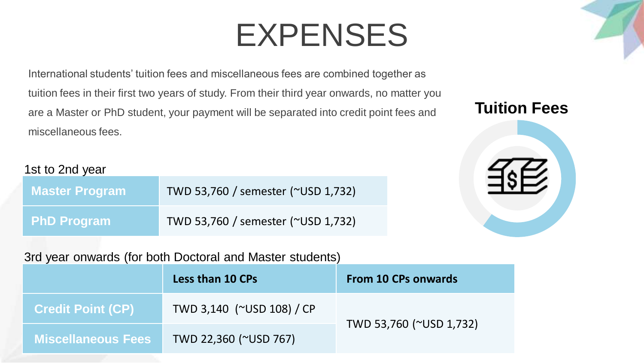International students' tuition fees and miscellaneous fees are combined together as tuition fees in their first two years of study. From their third year onwards, no matter you are a Master or PhD student, your payment will be separated into credit point fees and miscellaneous fees.

#### 1st to 2nd year

| <b>Master Program</b> | TWD 53,760 / semester (~USD 1,732) |
|-----------------------|------------------------------------|
| <b>PhD Program</b>    | TWD 53,760 / semester (~USD 1,732) |

#### 3rd year onwards (for both Doctoral and Master students)

|                           | <b>Less than 10 CPs</b>   | <b>From 10 CPs onwards</b> |
|---------------------------|---------------------------|----------------------------|
| <b>Credit Point (CP)</b>  | TWD 3,140 (~USD 108) / CP |                            |
| <b>Miscellaneous Fees</b> | TWD 22,360 (~USD 767)     | TWD 53,760 (~USD 1,732)    |

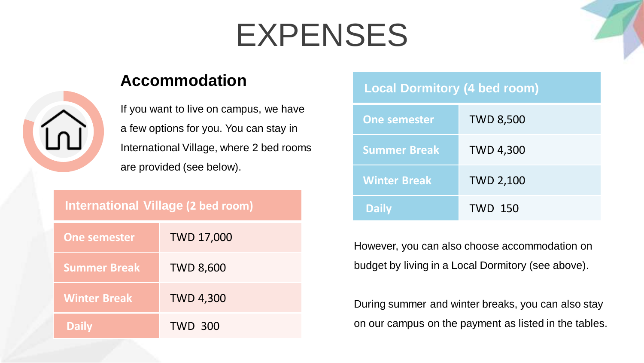

If you want to live on campus, we have a few options for you. You can stay in International Village, where 2 bed rooms are provided (see below).

#### **International Village (2 bed room)**

| <b>One semester</b> | <b>TWD 17,000</b> |
|---------------------|-------------------|
| <b>Summer Break</b> | <b>TWD 8,600</b>  |
| <b>Winter Break</b> | <b>TWD 4,300</b>  |
| <b>Daily</b>        | <b>TWD 300</b>    |

#### **Accommodation Local Dormitory (4 bed room)**

| <b>One semester</b> | <b>TWD 8,500</b> |
|---------------------|------------------|
| <b>Summer Break</b> | <b>TWD 4,300</b> |
| <b>Winter Break</b> | <b>TWD 2,100</b> |
| <b>Daily</b>        | <b>TWD 150</b>   |

However, you can also choose accommodation on budget by living in a Local Dormitory (see above).

During summer and winter breaks, you can also stay on our campus on the payment as listed in the tables.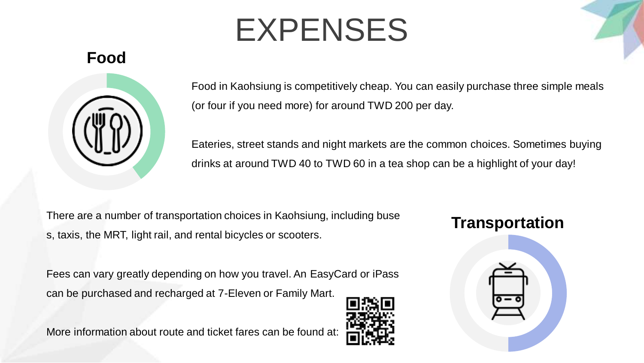#### **Food**



Food in Kaohsiung is competitively cheap. You can easily purchase three simple meals (or four if you need more) for around TWD 200 per day.

Eateries, street stands and night markets are the common choices. Sometimes buying drinks at around TWD 40 to TWD 60 in a tea shop can be a highlight of your day!

There are a number of transportation choices in Kaohsiung, including buse s, taxis, the MRT, light rail, and rental bicycles or scooters.

Fees can vary greatly depending on how you travel. An EasyCard or iPass can be purchased and recharged at 7-Eleven or Family Mart.

More information about route and ticket fares can be found at:



#### **Transportation**

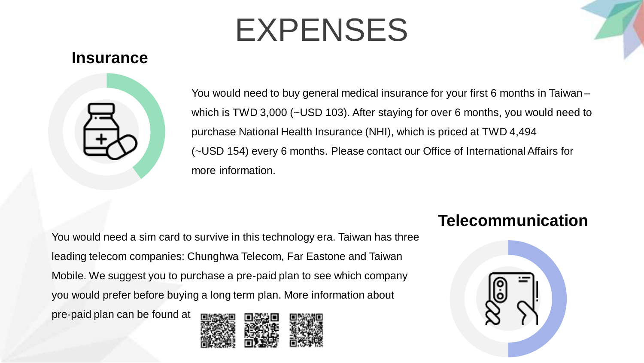#### **Insurance**



You would need to buy general medical insurance for your first 6 months in Taiwan – which is TWD 3,000 (~USD 103). After staying for over 6 months, you would need to purchase National Health Insurance (NHI), which is priced at TWD 4,494 (~USD 154) every 6 months. Please contact our Office of International Affairs for more information.

You would need a sim card to survive in this technology era. Taiwan has three leading telecom companies: Chunghwa Telecom, Far Eastone and Taiwan Mobile. We suggest you to purchase a pre-paid plan to see which company you would prefer before buying a long term plan. More information about pre-paid plan can be found at



#### **Telecommunication**

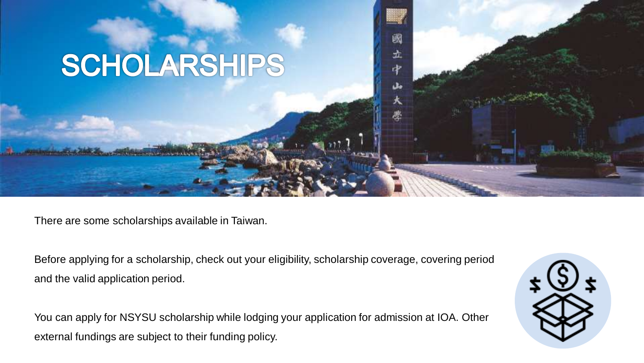

There are some scholarships available in Taiwan.

Before applying for a scholarship, check out your eligibility, scholarship coverage, covering period and the valid application period.

閾

土 中

You can apply for NSYSU scholarship while lodging your application for admission at IOA. Other external fundings are subject to their funding policy.

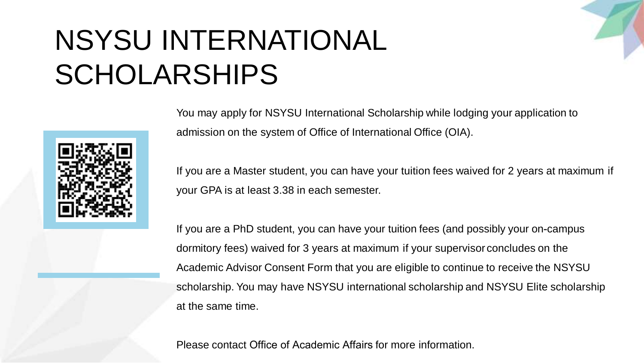### NSYSU INTERNATIONAL SCHOLARSHIPS



You may apply for NSYSU International Scholarship while lodging your application to admission on the system of Office of International Office (OIA).

If you are a Master student, you can have your tuition fees waived for 2 years at maximum if your GPA is at least 3.38 in each semester.

If you are a PhD student, you can have your tuition fees (and possibly your on-campus dormitory fees) waived for 3 years at maximum if your supervisor concludes on the Academic Advisor Consent Form that you are eligible to continue to receive the NSYSU scholarship. You may have NSYSU international scholarship and NSYSU Elite scholarship at the same time.

Please contact Office of Academic Affairs for more information.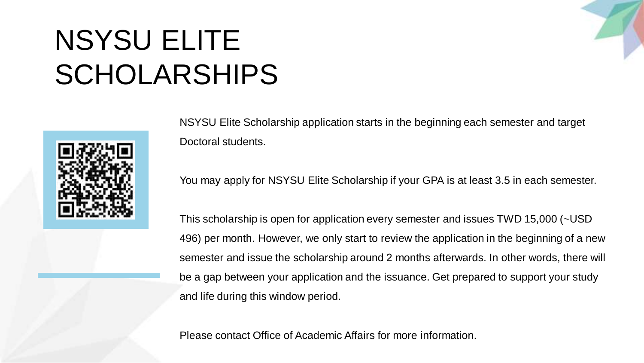### NSYSU ELITE SCHOLARSHIPS



NSYSU Elite Scholarship application starts in the beginning each semester and target Doctoral students.

You may apply for NSYSU Elite Scholarship if your GPA is at least 3.5 in each semester.

This scholarship is open for application every semester and issues TWD 15,000 (~USD 496) per month. However, we only start to review the application in the beginning of a new semester and issue the scholarship around 2 months afterwards. In other words, there will be a gap between your application and the issuance. Get prepared to support your study and life during this window period.

Please contact Office of Academic Affairs for more information.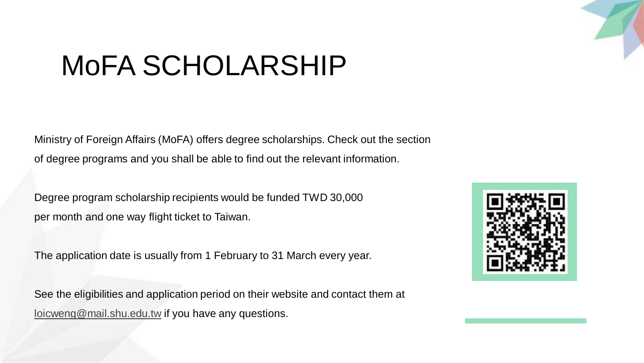

### MoFA SCHOLARSHIP

Ministry of Foreign Affairs (MoFA) offers degree scholarships. Check out the section of degree programs and you shall be able to find out the relevant information.

Degree program scholarship recipients would be funded TWD 30,000 per month and one way flight ticket to Taiwan.

The application date is usually from 1 February to 31 March every year.

See the eligibilities and application period on their website and contact them at [loicweng@mail.shu.edu.tw](mailto:loicweng@mail.shu.edu.tw) if you have any questions.

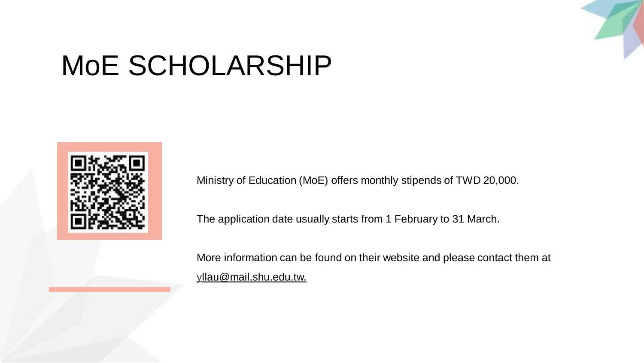

### MoE SCHOLARSHIP



Ministry of Education (MoE) offers monthly stipends of TWD 20,000.

The application date usually starts from 1 February to 31 March.

More information can be found on their website and please contact them at [yl](mailto:trinity@contract.shu.edu.tw)lau@mail.shu.edu.tw.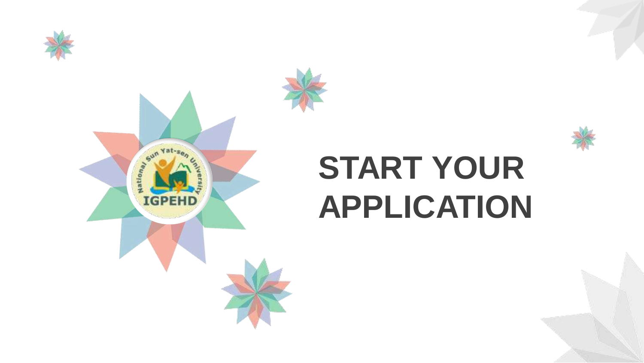



# **START YOUR APPLICATION**

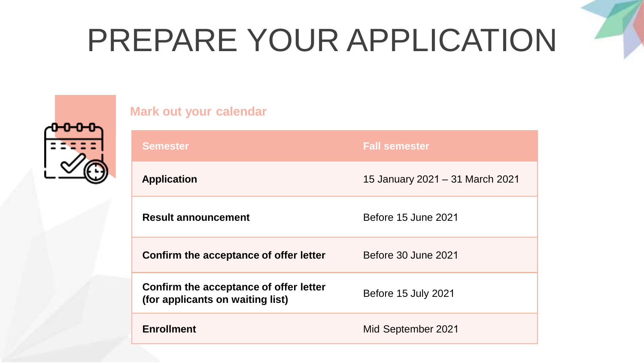# PREPARE YOUR APPLICATION



| <b>Mark out your calendar</b>                                              |                                 |
|----------------------------------------------------------------------------|---------------------------------|
| <b>Semester</b>                                                            | <b>Fall semester</b>            |
| <b>Application</b>                                                         | 15 January 2021 - 31 March 2021 |
| <b>Result announcement</b>                                                 | Before 15 June 2021             |
| Confirm the acceptance of offer letter                                     | Before 30 June 2021             |
| Confirm the acceptance of offer letter<br>(for applicants on waiting list) | Before 15 July 2021             |
| <b>Enrollment</b>                                                          | Mid September 2021              |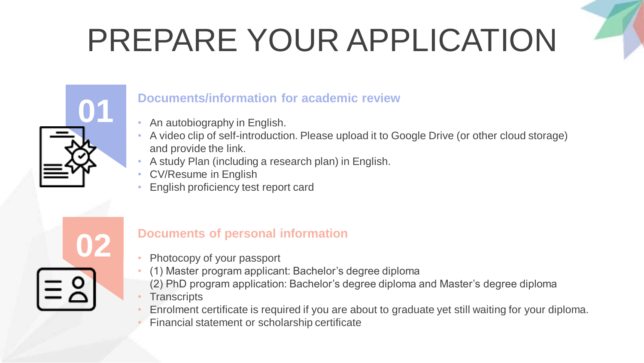# PREPARE YOUR APPLICATION



### **Documents/information for academic review**

- An autobiography in English.
- A video clip of self-introduction. Please upload it to Google Drive (or other cloud storage) and provide the link.
- A study Plan (including a research plan) in English.
- CV/Resume in English
- English proficiency test report card



#### **Documents of personal information**

- **02** Photocopy of your passport
	- (1) Master program applicant: Bachelor's degree diploma
	- (2) PhD program application: Bachelor's degree diploma and Master's degree diploma
	- **Transcripts**
	- Enrolment certificate is required if you are about to graduate yet still waiting for your diploma.
	- Financial statement or scholarship certificate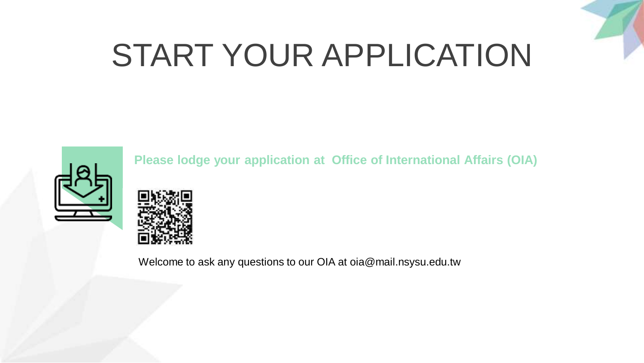

## START YOUR APPLICATION



**Please lodge your application at Office of International Affairs (OIA)** 



Welcome to ask any questions to our OIA at oia@mail.nsysu.edu.tw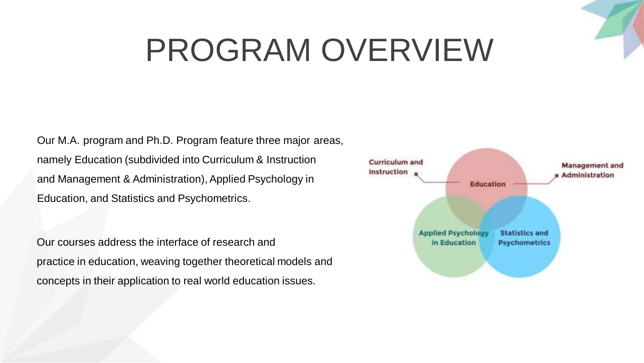## PROGRAM OVERVIEW

Our M.A. program and Ph.D. Program feature three major areas, namely Education (subdivided into Curriculum & Instruction and Management & Administration), Applied Psychology in Education, and Statistics and Psychometrics.

Our courses address the interface of research and practice in education, weaving together theoretical models and concepts in their application to real world education issues.

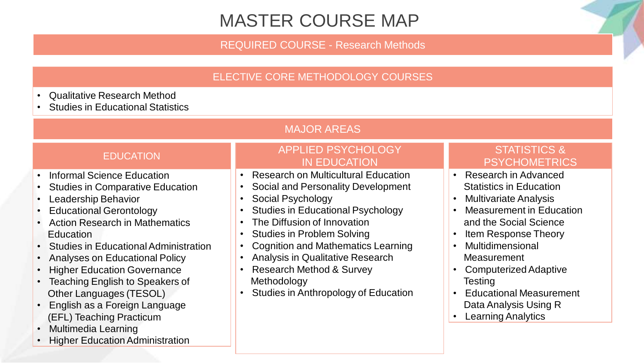#### MASTER COURSE MAP

REQUIRED COURSE - Research Methods

#### ELECTIVE CORE METHODOLOGY COURSES

- Qualitative Research Method
- **Studies in Educational Statistics**

#### MAJOR AREAS

#### **EDUCATION**

- Informal Science Education
- Studies in Comparative Education
- Leadership Behavior
- Educational Gerontology
- Action Research in Mathematics **Education**
- Studies in Educational Administration
- Analyses on Educational Policy
- **Higher Education Governance**
- Teaching English to Speakers of Other Languages (TESOL)
- English as a Foreign Language (EFL) Teaching Practicum
- Multimedia Learning
- Higher Education Administration

#### APPLIED PSYCHOLOGY IN EDUCATION

- Research on Multicultural Education
- Social and Personality Development
- Social Psychology
- Studies in Educational Psychology
- The Diffusion of Innovation
- Studies in Problem Solving
- Cognition and Mathematics Learning
- Analysis in Qualitative Research
- Research Method & Survey Methodology
- Studies in Anthropology of Education

#### STATISTICS & **PSYCHOMETRICS**

- Research in Advanced Statistics in Education
- Multivariate Analysis
- Measurement in Education and the Social Science
- Item Response Theory
- Multidimensional Measurement
- Computerized Adaptive **Testing**
- Educational Measurement Data Analysis Using R
- Learning Analytics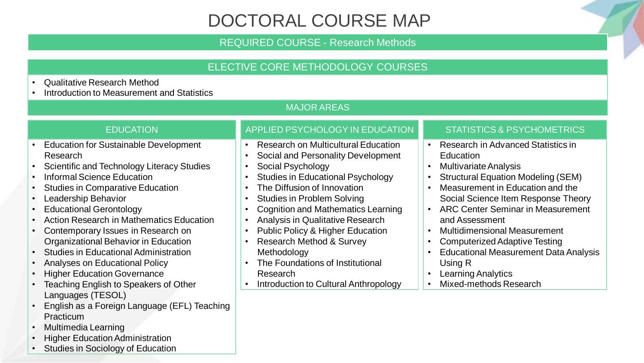#### DOCTORAL COURSE MAP

#### REQUIRED COURSE - Research Methods

#### ELECTIVE CORE METHODOLOGY COURSES

- Qualitative Research Method
- Introduction to Measurement and Statistics

#### MAJOR AREAS

#### **EDUCATION**

- Education for Sustainable Development Research
- Scientific and Technology Literacy Studies
- Informal Science Education
- Studies in Comparative Education
- Leadership Behavior
- Educational Gerontology
- Action Research in Mathematics Education
- Contemporary Issues in Research on Organizational Behavior in Education
- Studies in Educational Administration
- Analyses on Educational Policy
- **Higher Education Governance**
- Teaching English to Speakers of Other Languages (TESOL)
- English as a Foreign Language (EFL) Teaching **Practicum**
- Multimedia Learning
- **Higher Education Administration**
- Studies in Sociology of Education

#### APPLIED PSYCHOLOGY IN EDUCATION

- Research on Multicultural Education
- Social and Personality Development
- Social Psychology
- Studies in Educational Psychology
- The Diffusion of Innovation
- Studies in Problem Solving
- Cognition and Mathematics Learning
- Analysis in Qualitative Research
- Public Policy & Higher Education
- Research Method & Survey **Methodology**
- The Foundations of Institutional Research
- Introduction to Cultural Anthropology

#### STATISTICS & PSYCHOMETRICS

- Research in Advanced Statistics in **Education**
- Multivariate Analysis
- Structural Equation Modeling (SEM)
- Measurement in Education and the Social Science Item Response Theory
- ARC Center Seminar in Measurement and Assessment
- Multidimensional Measurement
- Computerized Adaptive Testing
- Educational Measurement Data Analysis Using R
- **Learning Analytics**
- Mixed-methods Research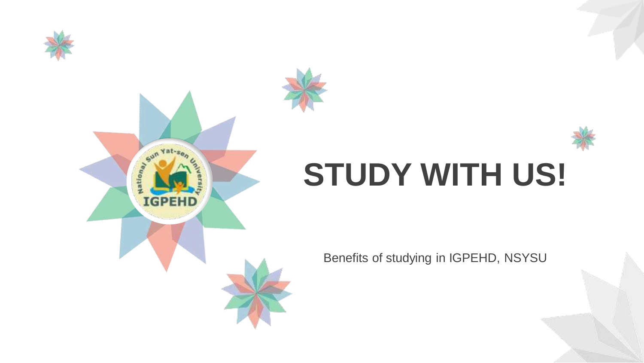





## **STUDY WITH US!**

Benefits of studying in IGPEHD, NSYSU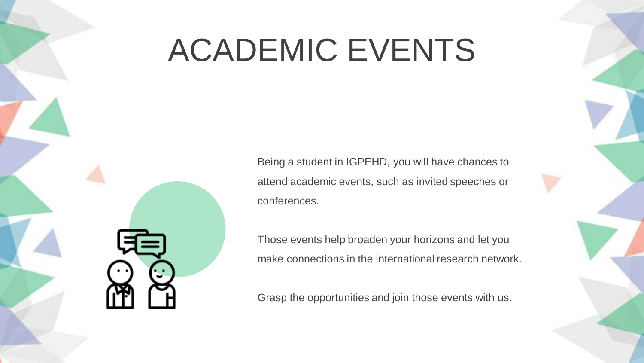## ACADEMIC EVENTS

Being a student in IGPEHD, you will have chances to attend academic events, such as invited speeches or conferences.

Those events help broaden your horizons and let you make connections in the international research network.

Grasp the opportunities and join those events with us.



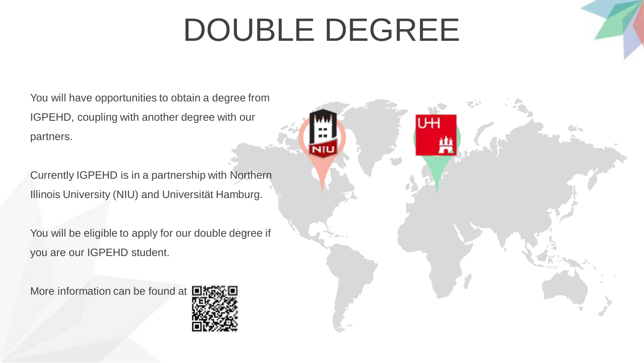# DOUBLE DEGREE

You will have opportunities to obtain a degree from IGPEHD, coupling with another degree with our partners.

Currently IGPEHD is in a partnership with Northern Illinois University (NIU) and Universität Hamburg.

You will be eligible to apply for our double degree if you are our IGPEHD student.

More information can be found at

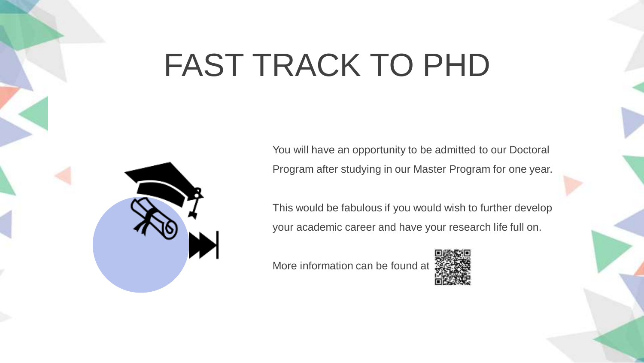## FAST TRACK TO PHD

You will have an opportunity to be admitted to our Doctoral Program after studying in our Master Program for one year.

This would be fabulous if you would wish to further develop your academic career and have your research life full on.

More information can be found at



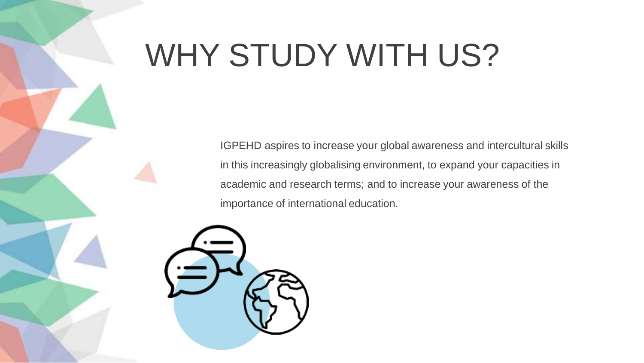### WHY STUDY WITH US?

IGPEHD aspires to increase your global awareness and intercultural skills in this increasingly globalising environment, to expand your capacities in academic and research terms; and to increase your awareness of the importance of international education.

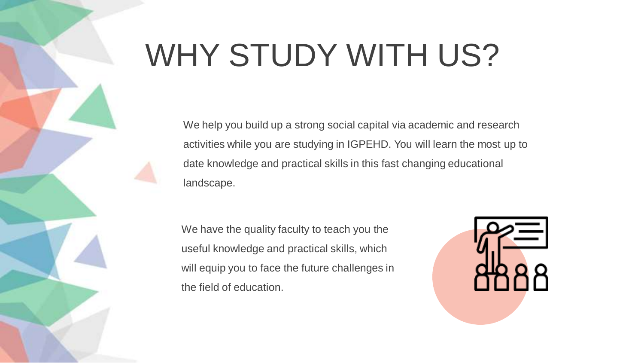## WHY STUDY WITH US?

**1**  We help you build up a strong social capital via academic and research activities while you are studying in IGPEHD. You will learn the most up to date knowledge and practical skills in this fast changing educational landscape.

We have the quality faculty to teach you the useful knowledge and practical skills, which will equip you to face the future challenges in the field of education.